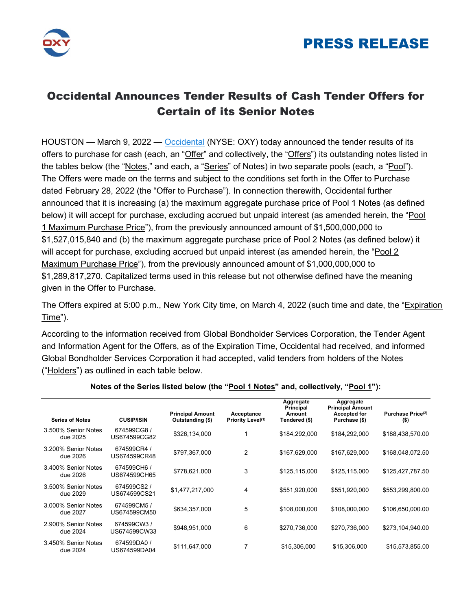



## Occidental Announces Tender Results of Cash Tender Offers for Certain of its Senior Notes

HOUSTON — March 9, 2022 — Occidental (NYSE: OXY) today announced the tender results of its offers to purchase for cash (each, an "Offer" and collectively, the "Offers") its outstanding notes listed in the tables below (the "Notes," and each, a "Series" of Notes) in two separate pools (each, a "Pool"). The Offers were made on the terms and subject to the conditions set forth in the Offer to Purchase dated February 28, 2022 (the "Offer to Purchase"). In connection therewith, Occidental further announced that it is increasing (a) the maximum aggregate purchase price of Pool 1 Notes (as defined below) it will accept for purchase, excluding accrued but unpaid interest (as amended herein, the "Pool 1 Maximum Purchase Price"), from the previously announced amount of \$1,500,000,000 to \$1,527,015,840 and (b) the maximum aggregate purchase price of Pool 2 Notes (as defined below) it will accept for purchase, excluding accrued but unpaid interest (as amended herein, the "Pool 2 Maximum Purchase Price"), from the previously announced amount of \$1,000,000,000 to \$1,289,817,270. Capitalized terms used in this release but not otherwise defined have the meaning given in the Offer to Purchase.

The Offers expired at 5:00 p.m., New York City time, on March 4, 2022 (such time and date, the "Expiration Time").

According to the information received from Global Bondholder Services Corporation, the Tender Agent and Information Agent for the Offers, as of the Expiration Time, Occidental had received, and informed Global Bondholder Services Corporation it had accepted, valid tenders from holders of the Notes ("Holders") as outlined in each table below.

| <b>Series of Notes</b>          | <b>CUSIP/ISIN</b>           | <b>Principal Amount</b><br>Outstanding (\$) | Acceptance<br>Priority Level <sup>(1)</sup> | Aggregate<br>Principal<br>Amount<br>Tendered (\$) | Aggregate<br><b>Principal Amount</b><br><b>Accepted for</b><br>Purchase (\$) | Purchase Price <sup>(2)</sup><br>$($ \$) |
|---------------------------------|-----------------------------|---------------------------------------------|---------------------------------------------|---------------------------------------------------|------------------------------------------------------------------------------|------------------------------------------|
| 3.500% Senior Notes<br>due 2025 | 674599CG8/<br>US674599CG82  | \$326,134,000                               |                                             | \$184,292,000                                     | \$184,292,000                                                                | \$188,438,570.00                         |
| 3.200% Senior Notes<br>due 2026 | 674599CR4 /<br>US674599CR48 | \$797,367,000                               | 2                                           | \$167,629,000                                     | \$167,629,000                                                                | \$168,048,072.50                         |
| 3.400% Senior Notes<br>due 2026 | 674599CH6 /<br>US674599CH65 | \$778,621,000                               | 3                                           | \$125,115,000                                     | \$125,115,000                                                                | \$125,427,787.50                         |
| 3.500% Senior Notes<br>due 2029 | 674599CS2/<br>US674599CS21  | \$1,477,217,000                             | 4                                           | \$551,920,000                                     | \$551,920,000                                                                | \$553,299,800.00                         |
| 3.000% Senior Notes<br>due 2027 | 674599CM5/<br>US674599CM50  | \$634,357,000                               | 5                                           | \$108,000,000                                     | \$108,000,000                                                                | \$106,650,000.00                         |
| 2.900% Senior Notes<br>due 2024 | 674599CW3/<br>US674599CW33  | \$948,951,000                               | 6                                           | \$270,736,000                                     | \$270,736,000                                                                | \$273,104,940.00                         |
| 3.450% Senior Notes<br>due 2024 | 674599DA0 /<br>US674599DA04 | \$111,647,000                               | 7                                           | \$15,306,000                                      | \$15,306,000                                                                 | \$15,573,855.00                          |

### Notes of the Series listed below (the "Pool 1 Notes" and, collectively, "Pool 1"):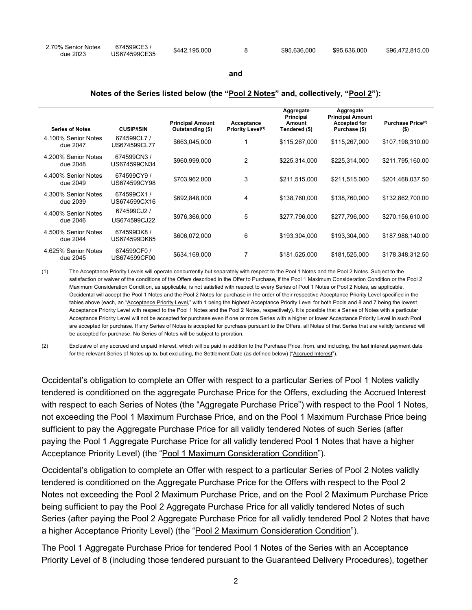| 2.70% Senior Notes | 674599CE3/   | \$442,195,000 | \$95.636.000 | \$95.636.000 | \$96.472.815.00 |
|--------------------|--------------|---------------|--------------|--------------|-----------------|
| due 2023           | US674599CE35 |               |              |              |                 |

#### and

#### Notes of the Series listed below (the "Pool 2 Notes" and, collectively, "Pool 2"):

| <b>Series of Notes</b> | <b>CUSIP/ISIN</b> | <b>Principal Amount</b><br>Outstanding (\$) | Acceptance<br>Priority Level <sup>(1)</sup> | Aggregate<br>Principal<br>Amount<br>Tendered (\$) | Aggregate<br><b>Principal Amount</b><br><b>Accepted for</b><br>Purchase (\$) | Purchase Price <sup>(2)</sup><br>$($ \$) |
|------------------------|-------------------|---------------------------------------------|---------------------------------------------|---------------------------------------------------|------------------------------------------------------------------------------|------------------------------------------|
| 4.100% Senior Notes    | 674599CL7/        |                                             |                                             |                                                   |                                                                              |                                          |
| due 2047               | US674599CL77      | \$663,045,000                               |                                             | \$115,267,000                                     | \$115,267,000                                                                | \$107,198,310.00                         |
| 4.200% Senior Notes    | 674599CN3/        | \$960,999,000                               | $\overline{2}$                              | \$225,314,000                                     | \$225,314,000                                                                | \$211,795,160.00                         |
| due 2048               | US674599CN34      |                                             |                                             |                                                   |                                                                              |                                          |
| 4,400% Senior Notes    | 674599CY9 /       | \$703,962,000                               | 3                                           | \$211,515,000                                     | \$211,515,000                                                                | \$201,468,037.50                         |
| due 2049               | US674599CY98      |                                             |                                             |                                                   |                                                                              |                                          |
| 4.300% Senior Notes    | 674599CX1/        | \$692,848,000                               | 4                                           | \$138,760,000                                     | \$138,760,000                                                                | \$132,862,700.00                         |
| due 2039               | US674599CX16      |                                             |                                             |                                                   |                                                                              |                                          |
| 4.400% Senior Notes    | 674599CJ2 /       |                                             |                                             |                                                   |                                                                              |                                          |
| due 2046               | US674599CJ22      | \$976,366,000                               | 5                                           | \$277,796,000                                     | \$277,796,000                                                                | \$270,156,610.00                         |
| 4.500% Senior Notes    | 674599DK8/        |                                             |                                             |                                                   |                                                                              |                                          |
| due 2044               | US674599DK85      | \$606,072,000                               | 6                                           | \$193,304,000                                     | \$193,304,000                                                                | \$187,988,140.00                         |
| 4.625% Senior Notes    | 674599CF0 /       |                                             |                                             |                                                   |                                                                              |                                          |
| due 2045               | US674599CF00      | \$634,169,000                               |                                             | \$181,525,000                                     | \$181,525,000                                                                | \$178,348,312.50                         |

(1) The Acceptance Priority Levels will operate concurrently but separately with respect to the Pool 1 Notes and the Pool 2 Notes. Subject to the satisfaction or waiver of the conditions of the Offers described in the Offer to Purchase, if the Pool 1 Maximum Consideration Condition or the Pool 2 Maximum Consideration Condition, as applicable, is not satisfied with respect to every Series of Pool 1 Notes or Pool 2 Notes, as applicable, Occidental will accept the Pool 1 Notes and the Pool 2 Notes for purchase in the order of their respective Acceptance Priority Level specified in the tables above (each, an "Acceptance Priority Level," with 1 being the highest Acceptance Priority Level for both Pools and 8 and 7 being the lowest Acceptance Priority Level with respect to the Pool 1 Notes and the Pool 2 Notes, respectively). It is possible that a Series of Notes with a particular Acceptance Priority Level will not be accepted for purchase even if one or more Series with a higher or lower Acceptance Priority Level in such Pool are accepted for purchase. If any Series of Notes is accepted for purchase pursuant to the Offers, all Notes of that Series that are validly tendered will be accepted for purchase. No Series of Notes will be subject to proration.

(2) Exclusive of any accrued and unpaid interest, which will be paid in addition to the Purchase Price, from, and including, the last interest payment date for the relevant Series of Notes up to, but excluding, the Settlement Date (as defined below) ("Accrued Interest").

Occidental's obligation to complete an Offer with respect to a particular Series of Pool 1 Notes validly tendered is conditioned on the aggregate Purchase Price for the Offers, excluding the Accrued Interest with respect to each Series of Notes (the "Aggregate Purchase Price") with respect to the Pool 1 Notes, not exceeding the Pool 1 Maximum Purchase Price, and on the Pool 1 Maximum Purchase Price being sufficient to pay the Aggregate Purchase Price for all validly tendered Notes of such Series (after paying the Pool 1 Aggregate Purchase Price for all validly tendered Pool 1 Notes that have a higher Acceptance Priority Level) (the "Pool 1 Maximum Consideration Condition").

Occidental's obligation to complete an Offer with respect to a particular Series of Pool 2 Notes validly tendered is conditioned on the Aggregate Purchase Price for the Offers with respect to the Pool 2 Notes not exceeding the Pool 2 Maximum Purchase Price, and on the Pool 2 Maximum Purchase Price being sufficient to pay the Pool 2 Aggregate Purchase Price for all validly tendered Notes of such Series (after paying the Pool 2 Aggregate Purchase Price for all validly tendered Pool 2 Notes that have a higher Acceptance Priority Level) (the "Pool 2 Maximum Consideration Condition").

The Pool 1 Aggregate Purchase Price for tendered Pool 1 Notes of the Series with an Acceptance Priority Level of 8 (including those tendered pursuant to the Guaranteed Delivery Procedures), together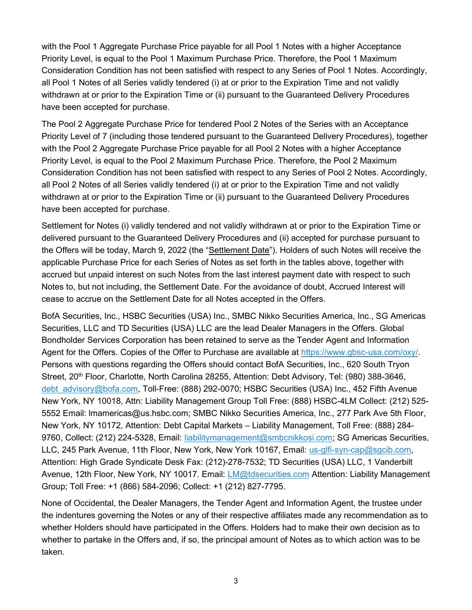with the Pool 1 Aggregate Purchase Price payable for all Pool 1 Notes with a higher Acceptance Priority Level, is equal to the Pool 1 Maximum Purchase Price. Therefore, the Pool 1 Maximum Consideration Condition has not been satisfied with respect to any Series of Pool 1 Notes. Accordingly, all Pool 1 Notes of all Series validly tendered (i) at or prior to the Expiration Time and not validly withdrawn at or prior to the Expiration Time or (ii) pursuant to the Guaranteed Delivery Procedures have been accepted for purchase.

The Pool 2 Aggregate Purchase Price for tendered Pool 2 Notes of the Series with an Acceptance Priority Level of 7 (including those tendered pursuant to the Guaranteed Delivery Procedures), together with the Pool 2 Aggregate Purchase Price payable for all Pool 2 Notes with a higher Acceptance Priority Level, is equal to the Pool 2 Maximum Purchase Price. Therefore, the Pool 2 Maximum Consideration Condition has not been satisfied with respect to any Series of Pool 2 Notes. Accordingly, all Pool 2 Notes of all Series validly tendered (i) at or prior to the Expiration Time and not validly withdrawn at or prior to the Expiration Time or (ii) pursuant to the Guaranteed Delivery Procedures have been accepted for purchase.

Settlement for Notes (i) validly tendered and not validly withdrawn at or prior to the Expiration Time or delivered pursuant to the Guaranteed Delivery Procedures and (ii) accepted for purchase pursuant to the Offers will be today, March 9, 2022 (the "Settlement Date"). Holders of such Notes will receive the applicable Purchase Price for each Series of Notes as set forth in the tables above, together with accrued but unpaid interest on such Notes from the last interest payment date with respect to such Notes to, but not including, the Settlement Date. For the avoidance of doubt, Accrued Interest will cease to accrue on the Settlement Date for all Notes accepted in the Offers.

BofA Securities, Inc., HSBC Securities (USA) Inc., SMBC Nikko Securities America, Inc., SG Americas Securities, LLC and TD Securities (USA) LLC are the lead Dealer Managers in the Offers. Global Bondholder Services Corporation has been retained to serve as the Tender Agent and Information Agent for the Offers. Copies of the Offer to Purchase are available at https://www.gbsc-usa.com/oxy/. Persons with questions regarding the Offers should contact BofA Securities, Inc., 620 South Tryon Street, 20<sup>th</sup> Floor, Charlotte, North Carolina 28255, Attention: Debt Advisory, Tel: (980) 388-3646, debt advisory@bofa.com, Toll-Free: (888) 292-0070; HSBC Securities (USA) Inc., 452 Fifth Avenue New York, NY 10018, Attn: Liability Management Group Toll Free: (888) HSBC-4LM Collect: (212) 525- 5552 Email: lmamericas@us.hsbc.com; SMBC Nikko Securities America, Inc., 277 Park Ave 5th Floor, New York, NY 10172, Attention: Debt Capital Markets – Liability Management, Toll Free: (888) 284- 9760, Collect: (212) 224-5328, Email: liabilitymanagement@smbcnikkosi.com; SG Americas Securities, LLC, 245 Park Avenue, 11th Floor, New York, New York 10167, Email: us-glfi-syn-cap@sgcib.com, Attention: High Grade Syndicate Desk Fax: (212)-278-7532; TD Securities (USA) LLC, 1 Vanderbilt Avenue, 12th Floor, New York, NY 10017. Email: *LM@tdsecurities.com* Attention: Liability Management Group; Toll Free: +1 (866) 584-2096; Collect: +1 (212) 827-7795.

None of Occidental, the Dealer Managers, the Tender Agent and Information Agent, the trustee under the indentures governing the Notes or any of their respective affiliates made any recommendation as to whether Holders should have participated in the Offers. Holders had to make their own decision as to whether to partake in the Offers and, if so, the principal amount of Notes as to which action was to be taken.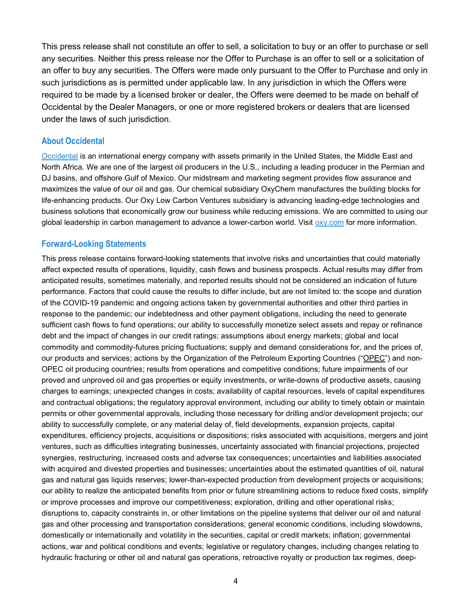This press release shall not constitute an offer to sell, a solicitation to buy or an offer to purchase or sell any securities. Neither this press release nor the Offer to Purchase is an offer to sell or a solicitation of an offer to buy any securities. The Offers were made only pursuant to the Offer to Purchase and only in such jurisdictions as is permitted under applicable law. In any jurisdiction in which the Offers were required to be made by a licensed broker or dealer, the Offers were deemed to be made on behalf of Occidental by the Dealer Managers, or one or more registered brokers or dealers that are licensed under the laws of such jurisdiction.

## About Occidental

Occidental is an international energy company with assets primarily in the United States, the Middle East and North Africa. We are one of the largest oil producers in the U.S., including a leading producer in the Permian and DJ basins, and offshore Gulf of Mexico. Our midstream and marketing segment provides flow assurance and maximizes the value of our oil and gas. Our chemical subsidiary OxyChem manufactures the building blocks for life-enhancing products. Our Oxy Low Carbon Ventures subsidiary is advancing leading-edge technologies and business solutions that economically grow our business while reducing emissions. We are committed to using our global leadership in carbon management to advance a lower-carbon world. Visit oxy.com for more information.

## Forward-Looking Statements

This press release contains forward-looking statements that involve risks and uncertainties that could materially affect expected results of operations, liquidity, cash flows and business prospects. Actual results may differ from anticipated results, sometimes materially, and reported results should not be considered an indication of future performance. Factors that could cause the results to differ include, but are not limited to: the scope and duration of the COVID-19 pandemic and ongoing actions taken by governmental authorities and other third parties in response to the pandemic; our indebtedness and other payment obligations, including the need to generate sufficient cash flows to fund operations; our ability to successfully monetize select assets and repay or refinance debt and the impact of changes in our credit ratings; assumptions about energy markets; global and local commodity and commodity-futures pricing fluctuations; supply and demand considerations for, and the prices of, our products and services; actions by the Organization of the Petroleum Exporting Countries ("OPEC") and non-OPEC oil producing countries; results from operations and competitive conditions; future impairments of our proved and unproved oil and gas properties or equity investments, or write-downs of productive assets, causing charges to earnings; unexpected changes in costs; availability of capital resources, levels of capital expenditures and contractual obligations; the regulatory approval environment, including our ability to timely obtain or maintain permits or other governmental approvals, including those necessary for drilling and/or development projects; our ability to successfully complete, or any material delay of, field developments, expansion projects, capital expenditures, efficiency projects, acquisitions or dispositions; risks associated with acquisitions, mergers and joint ventures, such as difficulties integrating businesses, uncertainty associated with financial projections, projected synergies, restructuring, increased costs and adverse tax consequences; uncertainties and liabilities associated with acquired and divested properties and businesses; uncertainties about the estimated quantities of oil, natural gas and natural gas liquids reserves; lower-than-expected production from development projects or acquisitions; our ability to realize the anticipated benefits from prior or future streamlining actions to reduce fixed costs, simplify or improve processes and improve our competitiveness; exploration, drilling and other operational risks; disruptions to, capacity constraints in, or other limitations on the pipeline systems that deliver our oil and natural gas and other processing and transportation considerations; general economic conditions, including slowdowns, domestically or internationally and volatility in the securities, capital or credit markets; inflation; governmental actions, war and political conditions and events; legislative or regulatory changes, including changes relating to hydraulic fracturing or other oil and natural gas operations, retroactive royalty or production tax regimes, deep